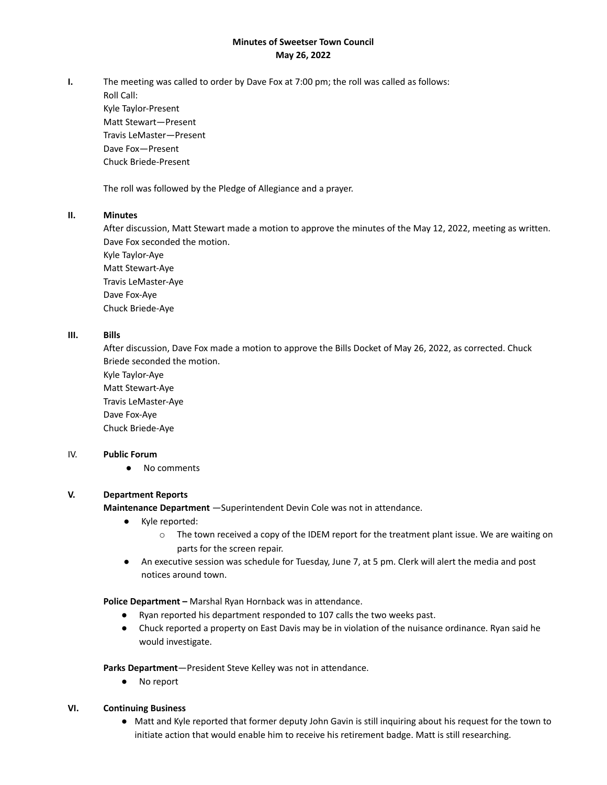## **Minutes of Sweetser Town Council May 26, 2022**

**I.** The meeting was called to order by Dave Fox at 7:00 pm; the roll was called as follows:

Roll Call: Kyle Taylor-Present Matt Stewart—Present Travis LeMaster—Present Dave Fox—Present Chuck Briede-Present

The roll was followed by the Pledge of Allegiance and a prayer.

## **II. Minutes**

After discussion, Matt Stewart made a motion to approve the minutes of the May 12, 2022, meeting as written. Dave Fox seconded the motion.

Kyle Taylor-Aye Matt Stewart-Aye Travis LeMaster-Aye Dave Fox-Aye Chuck Briede-Aye

## **III. Bills**

After discussion, Dave Fox made a motion to approve the Bills Docket of May 26, 2022, as corrected. Chuck Briede seconded the motion.

Kyle Taylor-Aye Matt Stewart-Aye Travis LeMaster-Aye Dave Fox-Aye Chuck Briede-Aye

### IV. **Public Forum**

● No comments

# **V. Department Reports**

**Maintenance Department** —Superintendent Devin Cole was not in attendance.

- Kyle reported:
	- $\circ$  The town received a copy of the IDEM report for the treatment plant issue. We are waiting on parts for the screen repair.
- An executive session was schedule for Tuesday, June 7, at 5 pm. Clerk will alert the media and post notices around town.

**Police Department –** Marshal Ryan Hornback was in attendance.

- Ryan reported his department responded to 107 calls the two weeks past.
- Chuck reported a property on East Davis may be in violation of the nuisance ordinance. Ryan said he would investigate.

**Parks Department**—President Steve Kelley was not in attendance.

● No report

### **VI. Continuing Business**

● Matt and Kyle reported that former deputy John Gavin is still inquiring about his request for the town to initiate action that would enable him to receive his retirement badge. Matt is still researching.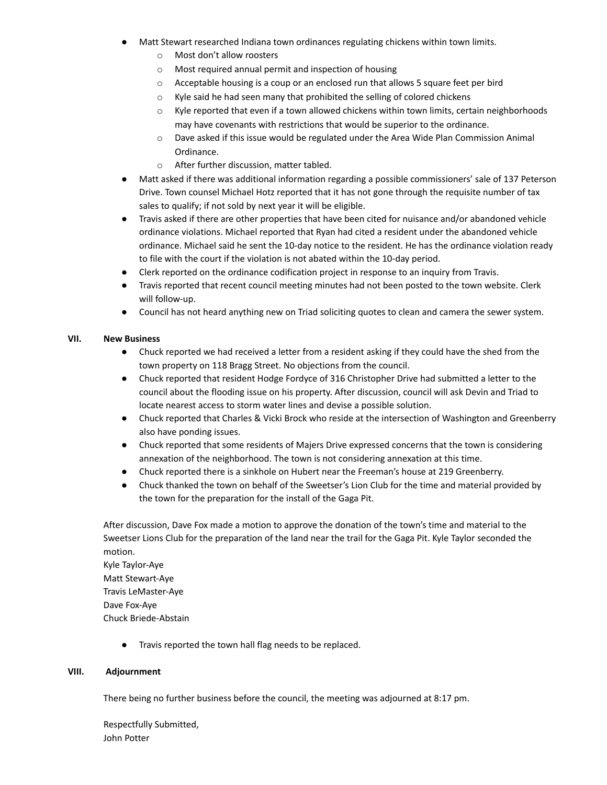- Matt Stewart researched Indiana town ordinances regulating chickens within town limits.
	- o Most don't allow roosters
	- o Most required annual permit and inspection of housing
	- $\circ$  Acceptable housing is a coup or an enclosed run that allows 5 square feet per bird
	- o Kyle said he had seen many that prohibited the selling of colored chickens
	- $\circ$  Kyle reported that even if a town allowed chickens within town limits, certain neighborhoods may have covenants with restrictions that would be superior to the ordinance.
	- $\circ$  Dave asked if this issue would be regulated under the Area Wide Plan Commission Animal Ordinance.
	- o After further discussion, matter tabled.
- Matt asked if there was additional information regarding a possible commissioners' sale of 137 Peterson Drive. Town counsel Michael Hotz reported that it has not gone through the requisite number of tax sales to qualify; if not sold by next year it will be eligible.
- Travis asked if there are other properties that have been cited for nuisance and/or abandoned vehicle ordinance violations. Michael reported that Ryan had cited a resident under the abandoned vehicle ordinance. Michael said he sent the 10-day notice to the resident. He has the ordinance violation ready to file with the court if the violation is not abated within the 10-day period.
- Clerk reported on the ordinance codification project in response to an inquiry from Travis.
- Travis reported that recent council meeting minutes had not been posted to the town website. Clerk will follow-up.
- Council has not heard anything new on Triad soliciting quotes to clean and camera the sewer system.

## **VII. New Business**

- Chuck reported we had received a letter from a resident asking if they could have the shed from the town property on 118 Bragg Street. No objections from the council.
- Chuck reported that resident Hodge Fordyce of 316 Christopher Drive had submitted a letter to the council about the flooding issue on his property. After discussion, council will ask Devin and Triad to locate nearest access to storm water lines and devise a possible solution.
- Chuck reported that Charles & Vicki Brock who reside at the intersection of Washington and Greenberry also have ponding issues.
- Chuck reported that some residents of Majers Drive expressed concerns that the town is considering annexation of the neighborhood. The town is not considering annexation at this time.
- Chuck reported there is a sinkhole on Hubert near the Freeman's house at 219 Greenberry.
- Chuck thanked the town on behalf of the Sweetser's Lion Club for the time and material provided by the town for the preparation for the install of the Gaga Pit.

After discussion, Dave Fox made a motion to approve the donation of the town's time and material to the Sweetser Lions Club for the preparation of the land near the trail for the Gaga Pit. Kyle Taylor seconded the motion.

Kyle Taylor-Aye Matt Stewart-Aye Travis LeMaster-Aye Dave Fox-Aye Chuck Briede-Abstain

● Travis reported the town hall flag needs to be replaced.

### **VIII. Adjournment**

There being no further business before the council, the meeting was adjourned at 8:17 pm.

Respectfully Submitted, John Potter